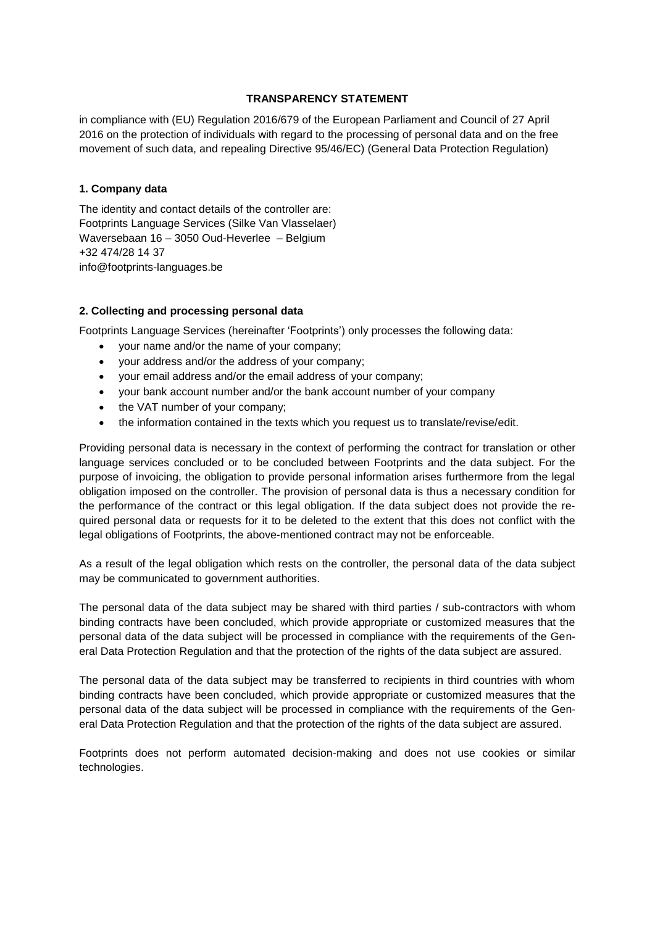## **TRANSPARENCY STATEMENT**

in compliance with (EU) Regulation 2016/679 of the European Parliament and Council of 27 April 2016 on the protection of individuals with regard to the processing of personal data and on the free movement of such data, and repealing Directive 95/46/EC) (General Data Protection Regulation)

## **1. Company data**

The identity and contact details of the controller are: Footprints Language Services (Silke Van Vlasselaer) Waversebaan 16 – 3050 Oud-Heverlee – Belgium +32 474/28 14 37 info@footprints-languages.be

# **2. Collecting and processing personal data**

Footprints Language Services (hereinafter 'Footprints') only processes the following data:

- your name and/or the name of your company;
- your address and/or the address of your company;
- your email address and/or the email address of your company;
- your bank account number and/or the bank account number of your company
- the VAT number of your company;
- the information contained in the texts which you request us to translate/revise/edit.

Providing personal data is necessary in the context of performing the contract for translation or other language services concluded or to be concluded between Footprints and the data subject. For the purpose of invoicing, the obligation to provide personal information arises furthermore from the legal obligation imposed on the controller. The provision of personal data is thus a necessary condition for the performance of the contract or this legal obligation. If the data subject does not provide the required personal data or requests for it to be deleted to the extent that this does not conflict with the legal obligations of Footprints, the above-mentioned contract may not be enforceable.

As a result of the legal obligation which rests on the controller, the personal data of the data subject may be communicated to government authorities.

The personal data of the data subject may be shared with third parties / sub-contractors with whom binding contracts have been concluded, which provide appropriate or customized measures that the personal data of the data subject will be processed in compliance with the requirements of the General Data Protection Regulation and that the protection of the rights of the data subject are assured.

The personal data of the data subject may be transferred to recipients in third countries with whom binding contracts have been concluded, which provide appropriate or customized measures that the personal data of the data subject will be processed in compliance with the requirements of the General Data Protection Regulation and that the protection of the rights of the data subject are assured.

Footprints does not perform automated decision-making and does not use cookies or similar technologies.